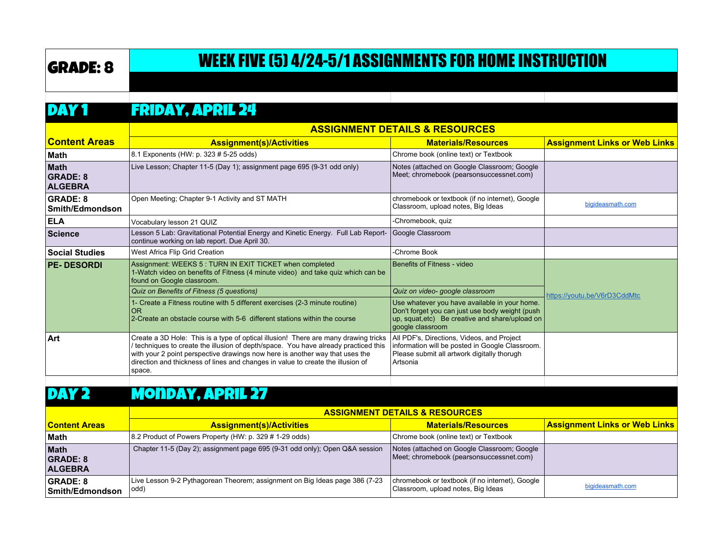# GRADE: 8 WEEK FIVE (5) 4/24-5/1 ASSIGNMENTS FOR HOME INSTRUCTION

#### DAY 1 FRIDAY, APRIL 24

|                                           | <b>ASSIGNMENT DETAILS &amp; RESOURCES</b>                                                                                                                                                                                                                                                                                                               |                                                                                                                                                                         |                                      |
|-------------------------------------------|---------------------------------------------------------------------------------------------------------------------------------------------------------------------------------------------------------------------------------------------------------------------------------------------------------------------------------------------------------|-------------------------------------------------------------------------------------------------------------------------------------------------------------------------|--------------------------------------|
| <b>Content Areas</b>                      | <b>Assignment(s)/Activities</b>                                                                                                                                                                                                                                                                                                                         | <b>Materials/Resources</b>                                                                                                                                              | <b>Assignment Links or Web Links</b> |
| ∣Math                                     | 8.1 Exponents (HW: p. 323 # 5-25 odds)                                                                                                                                                                                                                                                                                                                  | Chrome book (online text) or Textbook                                                                                                                                   |                                      |
| Math<br><b>GRADE: 8</b><br><b>ALGEBRA</b> | Live Lesson; Chapter 11-5 (Day 1); assignment page 695 (9-31 odd only)                                                                                                                                                                                                                                                                                  | Notes (attached on Google Classroom; Google<br>Meet; chromebook (pearsonsuccessnet.com)                                                                                 |                                      |
| <b>GRADE: 8</b><br><b>Smith/Edmondson</b> | Open Meeting; Chapter 9-1 Activity and ST MATH                                                                                                                                                                                                                                                                                                          | chromebook or textbook (if no internet), Google<br>Classroom, upload notes, Big Ideas                                                                                   | bigideasmath.com                     |
| <b>ELA</b>                                | Vocabulary lesson 21 QUIZ                                                                                                                                                                                                                                                                                                                               | -Chromebook, quiz                                                                                                                                                       |                                      |
| Science                                   | Lesson 5 Lab: Gravitational Potential Energy and Kinetic Energy. Full Lab Report-<br>continue working on lab report. Due April 30.                                                                                                                                                                                                                      | Google Classroom                                                                                                                                                        |                                      |
| <b>Social Studies</b>                     | West Africa Flip Grid Creation                                                                                                                                                                                                                                                                                                                          | -Chrome Book                                                                                                                                                            |                                      |
| <b>PE-DESORDI</b>                         | Assignment: WEEKS 5 : TURN IN EXIT TICKET when completed<br>1-Watch video on benefits of Fitness (4 minute video) and take quiz which can be<br>found on Google classroom.                                                                                                                                                                              | Benefits of Fitness - video                                                                                                                                             |                                      |
|                                           | Quiz on Benefits of Fitness (5 questions)                                                                                                                                                                                                                                                                                                               | Quiz on video- google classroom                                                                                                                                         | https://youtu.be/V6rD3CddMtc         |
|                                           | 1- Create a Fitness routine with 5 different exercises (2-3 minute routine)<br>OR<br>2-Create an obstacle course with 5-6 different stations within the course                                                                                                                                                                                          | Use whatever you have available in your home.<br>Don't forget you can just use body weight (push<br>up, squat, etc) Be creative and share/upload on<br>google classroom |                                      |
| ∣Art∶                                     | Create a 3D Hole: This is a type of optical illusion! There are many drawing tricks<br>/ techniques to create the illusion of depth/space. You have already practiced this<br>with your 2 point perspective drawings now here is another way that uses the<br>direction and thickness of lines and changes in value to create the illusion of<br>space. | All PDF's, Directions, Videos, and Project<br>information will be posted in Google Classroom.<br>Please submit all artwork digitally thorugh<br>l Artsonia              |                                      |

#### DAY 2 Monday, April 27

|                                                  | <b>ASSIGNMENT DETAILS &amp; RESOURCES</b>                                           |                                                                                          |                                          |
|--------------------------------------------------|-------------------------------------------------------------------------------------|------------------------------------------------------------------------------------------|------------------------------------------|
| <b>Content Areas</b>                             | <b>Assignment(s)/Activities</b>                                                     | <b>Materials/Resources</b>                                                               | <u>  Assignment Links or Web Links  </u> |
| <b>Math</b>                                      | 8.2 Product of Powers Property (HW: p. 329 # 1-29 odds)                             | Chrome book (online text) or Textbook                                                    |                                          |
| <b>Math</b><br><b>GRADE: 8</b><br><b>ALGEBRA</b> | Chapter 11-5 (Day 2); assignment page 695 (9-31 odd only); Open Q&A session         | Notes (attached on Google Classroom; Google<br>Meet; chromebook (pearson successnet.com) |                                          |
| GRADE: 8<br>Smith/Edmondson                      | Live Lesson 9-2 Pythagorean Theorem; assignment on Big Ideas page 386 (7-23<br>odd) | chromebook or textbook (if no internet), Google<br>Classroom, upload notes, Big Ideas    | bigideasmath.com                         |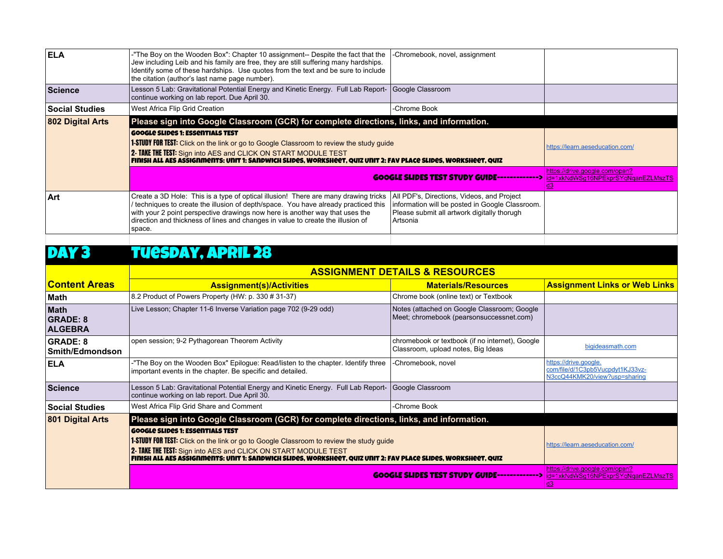| Google Slides 1: Essentials TEST                                                    |                                                                                                                                                                                                                                                                                                                                                                                                   |                                                                                                                                                                                                                                                                                                                                                                                                                                                                                                                                |
|-------------------------------------------------------------------------------------|---------------------------------------------------------------------------------------------------------------------------------------------------------------------------------------------------------------------------------------------------------------------------------------------------------------------------------------------------------------------------------------------------|--------------------------------------------------------------------------------------------------------------------------------------------------------------------------------------------------------------------------------------------------------------------------------------------------------------------------------------------------------------------------------------------------------------------------------------------------------------------------------------------------------------------------------|
| 2- TAKE THE TEST: Sign into AES and CLICK ON START MODULE TEST                      |                                                                                                                                                                                                                                                                                                                                                                                                   | https://learn.aeseducation.com/                                                                                                                                                                                                                                                                                                                                                                                                                                                                                                |
|                                                                                     |                                                                                                                                                                                                                                                                                                                                                                                                   | https://drive.google.com/open?<br>id=1xkNdWSq16NPEkprSYqNqanEZLMszTS<br>d3                                                                                                                                                                                                                                                                                                                                                                                                                                                     |
| Create a 3D Hole: This is a type of optical illusion! There are many drawing tricks | All PDF's, Directions, Videos, and Project                                                                                                                                                                                                                                                                                                                                                        |                                                                                                                                                                                                                                                                                                                                                                                                                                                                                                                                |
|                                                                                     | -"The Boy on the Wooden Box": Chapter 10 assignment-- Despite the fact that the<br>Jew including Leib and his family are free, they are still suffering many hardships.<br>Identify some of these hardships. Use quotes from the text and be sure to include<br>the citation (author's last name page number).<br>continue working on lab report. Due April 30.<br>West Africa Flip Grid Creation | -Chromebook, novel, assignment<br>Lesson 5 Lab: Gravitational Potential Energy and Kinetic Energy. Full Lab Report- Google Classroom<br>-Chrome Book<br>Please sign into Google Classroom (GCR) for complete directions, links, and information.<br><b>1-STUDY FOR TEST:</b> Click on the link or go to Google Classroom to review the study guide<br>FINISH ALL AES ASSIGNMENTS: UNIT 1: SANDWICH SLIDES, WORKSHEET, QUIZ UNIT 2: FAV PLACE SLIDES, WORKSHEET, QUIZ<br><b>GOOGLE SLIDES TEST STUDY GUIDE-------------&gt;</b> |

### DAY 3 TUESDAY, APRIL 28

|                                                  | <b>ASSIGNMENT DETAILS &amp; RESOURCES</b>                                                                                                                                                                                                                                                                              |                                                                                         |                                                                                            |
|--------------------------------------------------|------------------------------------------------------------------------------------------------------------------------------------------------------------------------------------------------------------------------------------------------------------------------------------------------------------------------|-----------------------------------------------------------------------------------------|--------------------------------------------------------------------------------------------|
| <b>Content Areas</b>                             | <b>Assignment(s)/Activities</b>                                                                                                                                                                                                                                                                                        | <b>Materials/Resources</b>                                                              | <b>Assignment Links or Web Links</b>                                                       |
| Math                                             | 8.2 Product of Powers Property (HW: p. 330 # 31-37)                                                                                                                                                                                                                                                                    | Chrome book (online text) or Textbook                                                   |                                                                                            |
| <b>Math</b><br><b>GRADE: 8</b><br><b>ALGEBRA</b> | Live Lesson; Chapter 11-6 Inverse Variation page 702 (9-29 odd)                                                                                                                                                                                                                                                        | Notes (attached on Google Classroom; Google<br>Meet; chromebook (pearsonsuccessnet.com) |                                                                                            |
| <b>GRADE: 8</b><br>Smith/Edmondson               | open session; 9-2 Pythagorean Theorem Activity                                                                                                                                                                                                                                                                         | chromebook or textbook (if no internet), Google<br>Classroom, upload notes, Big Ideas   | bigideasmath.com                                                                           |
| <b>ELA</b>                                       | -"The Boy on the Wooden Box" Epilogue: Read/listen to the chapter. Identify three<br>important events in the chapter. Be specific and detailed.                                                                                                                                                                        | -Chromebook, novel                                                                      | https://drive.google.<br>com/file/d/1C3pb5Vucpdyt1KJ33vz-<br>N3ccQ44KMK20/view?usp=sharing |
| <b>Science</b>                                   | Lesson 5 Lab: Gravitational Potential Energy and Kinetic Energy. Full Lab Report-<br>continue working on lab report. Due April 30.                                                                                                                                                                                     | Google Classroom                                                                        |                                                                                            |
| <b>Social Studies</b>                            | West Africa Flip Grid Share and Comment                                                                                                                                                                                                                                                                                | -Chrome Book                                                                            |                                                                                            |
| 801 Digital Arts                                 | Please sign into Google Classroom (GCR) for complete directions, links, and information.                                                                                                                                                                                                                               |                                                                                         |                                                                                            |
|                                                  | <b>GOOGLE SLIDES 1: ESSENTIALS TEST</b><br>1-STUDY FOR TEST: Click on the link or go to Google Classroom to review the study guide<br>2- TAKE THE TEST: Sign into AES and CLICK ON START MODULE TEST<br>FINISH ALL AES ASSIGNMENTS: UNIT 1: SANDWICH SLIDES, WORKSHEET, QUIZ UNIT 2: FAV PLACE SLIDES, WORKSHEET, QUIZ |                                                                                         | https://learn.aeseducation.com/                                                            |
|                                                  |                                                                                                                                                                                                                                                                                                                        | <b>GOOGLE SLIDES TEST STUDY GUIDE-------------&gt;</b>                                  | https://drive.google.com/open?<br>id=1xkNdWSg16NPEkprSYqNqanEZLMszTS                       |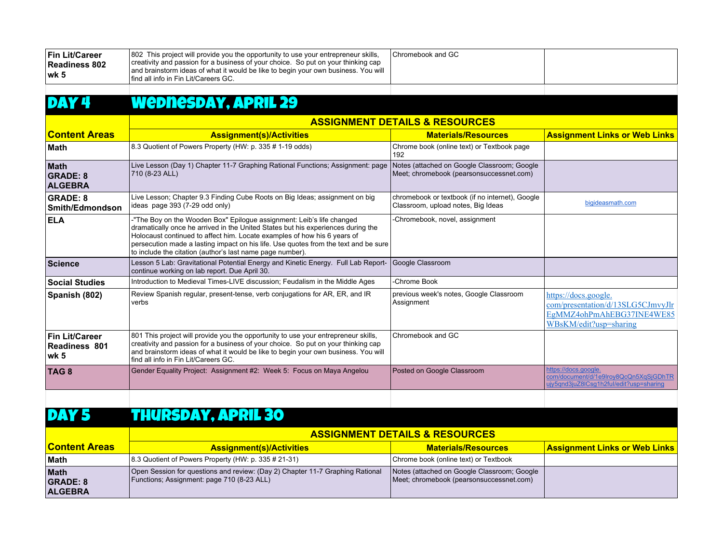| Fin Lit/Career<br>Readiness 802<br>lwk 5<br>DAY 4 | 802 This project will provide you the opportunity to use your entrepreneur skills,<br>creativity and passion for a business of your choice. So put on your thinking cap<br>and brainstorm ideas of what it would be like to begin your own business. You will<br>find all info in Fin Lit/Careers GC.<br><b>Wednesday, APRIL 29</b>                                                       | Chromebook and GC                                                                       |                                                                                                                  |
|---------------------------------------------------|-------------------------------------------------------------------------------------------------------------------------------------------------------------------------------------------------------------------------------------------------------------------------------------------------------------------------------------------------------------------------------------------|-----------------------------------------------------------------------------------------|------------------------------------------------------------------------------------------------------------------|
|                                                   | <b>ASSIGNMENT DETAILS &amp; RESOURCES</b>                                                                                                                                                                                                                                                                                                                                                 |                                                                                         |                                                                                                                  |
| <b>Content Areas</b>                              | <b>Assignment(s)/Activities</b>                                                                                                                                                                                                                                                                                                                                                           | <b>Materials/Resources</b>                                                              | <b>Assignment Links or Web Links</b>                                                                             |
| <b>Math</b>                                       | 8.3 Quotient of Powers Property (HW: p. 335 # 1-19 odds)                                                                                                                                                                                                                                                                                                                                  | Chrome book (online text) or Textbook page<br>192                                       |                                                                                                                  |
| Math<br><b>GRADE: 8</b><br><b>ALGEBRA</b>         | Live Lesson (Day 1) Chapter 11-7 Graphing Rational Functions; Assignment: page<br>710 (8-23 ALL)                                                                                                                                                                                                                                                                                          | Notes (attached on Google Classroom; Google<br>Meet; chromebook (pearsonsuccessnet.com) |                                                                                                                  |
| <b>GRADE: 8</b><br>Smith/Edmondson                | Live Lesson; Chapter 9.3 Finding Cube Roots on Big Ideas; assignment on big<br>ideas page 393 (7-29 odd only)                                                                                                                                                                                                                                                                             | chromebook or textbook (if no internet), Google<br>Classroom, upload notes, Big Ideas   | bigideasmath.com                                                                                                 |
| <b>ELA</b>                                        | -"The Boy on the Wooden Box" Epilogue assignment: Leib's life changed<br>dramatically once he arrived in the United States but his experiences during the<br>Holocaust continued to affect him. Locate examples of how his 6 years of<br>persecution made a lasting impact on his life. Use quotes from the text and be sure<br>to include the citation (author's last name page number). | -Chromebook, novel, assignment                                                          |                                                                                                                  |
| Science                                           | Lesson 5 Lab: Gravitational Potential Energy and Kinetic Energy. Full Lab Report-<br>continue working on lab report. Due April 30.                                                                                                                                                                                                                                                        | Google Classroom                                                                        |                                                                                                                  |
| <b>Social Studies</b>                             | Introduction to Medieval Times-LIVE discussion; Feudalism in the Middle Ages                                                                                                                                                                                                                                                                                                              | -Chrome Book                                                                            |                                                                                                                  |
| Spanish (802)                                     | Review Spanish regular, present-tense, verb conjugations for AR, ER, and IR<br>verbs                                                                                                                                                                                                                                                                                                      | previous week's notes, Google Classroom<br>Assignment                                   | https://docs.google.<br>com/presentation/d/13SLG5CJmvyJlr<br>EgMMZ4ohPmAhEBG37INE4WE85<br>WBsKM/edit?usp=sharing |
| <b>Fin Lit/Career</b><br>Readiness 801<br>lwk 5   | 801 This project will provide you the opportunity to use your entrepreneur skills,<br>creativity and passion for a business of your choice. So put on your thinking cap<br>and brainstorm ideas of what it would be like to begin your own business. You will<br>find all info in Fin Lit/Careers GC.                                                                                     | Chromebook and GC                                                                       |                                                                                                                  |
| TAG <sub>8</sub>                                  | Gender Equality Project: Assignment #2: Week 5: Focus on Maya Angelou                                                                                                                                                                                                                                                                                                                     | Posted on Google Classroom                                                              | https://docs.google.<br>com/document/d/1e9lroy8QcQn5XqSjGDhTR<br>ujy5qnd3juZ8lCsg1h2ful/edit?usp=sharing         |

### DAY 5 THURSDAY, APRIL 30

|                                           | <b>ASSIGNMENT DETAILS &amp; RESOURCES</b>                                                                                   |                                                                                         |                                      |
|-------------------------------------------|-----------------------------------------------------------------------------------------------------------------------------|-----------------------------------------------------------------------------------------|--------------------------------------|
| <u><b>Content Areas</b></u>               | <b>Assignment(s)/Activities</b>                                                                                             | <b>Materials/Resources</b>                                                              | <b>Assignment Links or Web Links</b> |
| <b>Math</b>                               | $\vert$ 8.3 Quotient of Powers Property (HW: p. 335 # 21-31)                                                                | Chrome book (online text) or Textbook                                                   |                                      |
| Math<br><b>GRADE: 8</b><br><b>ALGEBRA</b> | Open Session for questions and review: (Day 2) Chapter 11-7 Graphing Rational<br>Functions; Assignment: page 710 (8-23 ALL) | Notes (attached on Google Classroom; Google<br>Meet; chromebook (pearsonsuccessnet.com) |                                      |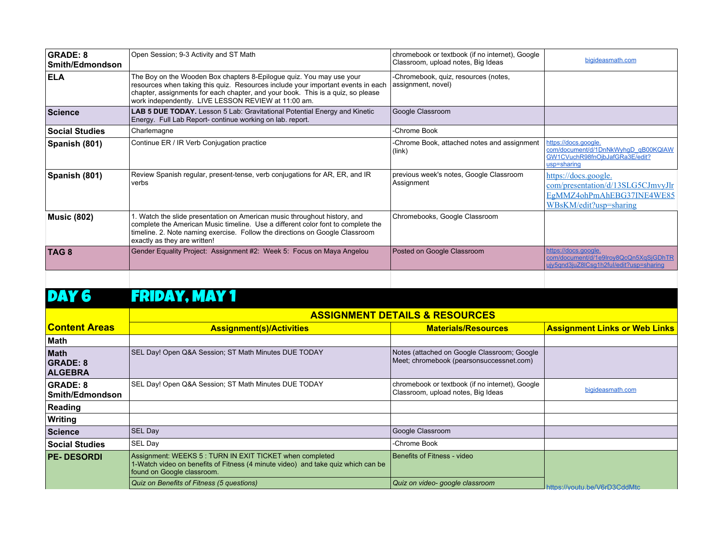| <b>GRADE: 8</b><br>Smith/Edmondson | Open Session; 9-3 Activity and ST Math                                                                                                                                                                                                                                                             | chromebook or textbook (if no internet), Google<br>Classroom, upload notes, Big Ideas | bigideasmath.com                                                                                                 |
|------------------------------------|----------------------------------------------------------------------------------------------------------------------------------------------------------------------------------------------------------------------------------------------------------------------------------------------------|---------------------------------------------------------------------------------------|------------------------------------------------------------------------------------------------------------------|
| <b>ELA</b>                         | The Boy on the Wooden Box chapters 8-Epilogue quiz. You may use your<br>resources when taking this quiz. Resources include your important events in each<br>chapter, assignments for each chapter, and your book. This is a quiz, so please<br>work independently. LIVE LESSON REVIEW at 11:00 am. | -Chromebook, quiz, resources (notes,<br>assignment, novel)                            |                                                                                                                  |
| <b>Science</b>                     | <b>LAB 5 DUE TODAY.</b> Lesson 5 Lab: Gravitational Potential Energy and Kinetic<br>Energy. Full Lab Report-continue working on lab. report.                                                                                                                                                       | Google Classroom                                                                      |                                                                                                                  |
| <b>Social Studies</b>              | Charlemagne                                                                                                                                                                                                                                                                                        | -Chrome Book                                                                          |                                                                                                                  |
| Spanish (801)                      | Continue ER / IR Verb Conjugation practice                                                                                                                                                                                                                                                         | -Chrome Book, attached notes and assignment<br>(link)                                 | https://docs.google.<br>com/document/d/1DnNkWyhgD_qB00KQIAW<br>GW1CVuchR98fnOjbJafGRa3E/edit?<br>usp=sharing     |
| Spanish (801)                      | Review Spanish regular, present-tense, verb conjugations for AR, ER, and IR<br>verbs                                                                                                                                                                                                               | previous week's notes, Google Classroom<br>Assignment                                 | https://docs.google.<br>com/presentation/d/13SLG5CJmvyJlr<br>EgMMZ4ohPmAhEBG37INE4WE85<br>WBsKM/edit?usp=sharing |
| <b>Music (802)</b>                 | 1. Watch the slide presentation on American music throughout history, and<br>complete the American Music timeline. Use a different color font to complete the<br>timeline. 2. Note naming exercise. Follow the directions on Google Classroom<br>exactly as they are written!                      | Chromebooks, Google Classroom                                                         |                                                                                                                  |
| TAG <sub>8</sub>                   | Gender Equality Project: Assignment #2: Week 5: Focus on Maya Angelou                                                                                                                                                                                                                              | Posted on Google Classroom                                                            | https://docs.google.<br>com/document/d/1e9lroy8QcQn5XqSjGDhTR<br>ujy5qnd3juZ8lCsq1h2ful/edit?usp=sharing         |
|                                    |                                                                                                                                                                                                                                                                                                    |                                                                                       |                                                                                                                  |

## DAY 6 FRIDAY, MAY 1

|                                                  | <b>ASSIGNMENT DETAILS &amp; RESOURCES</b>                                                                                                                                  |                                                                                         |                                      |
|--------------------------------------------------|----------------------------------------------------------------------------------------------------------------------------------------------------------------------------|-----------------------------------------------------------------------------------------|--------------------------------------|
| <u> Content Areas</u>                            | <b>Assignment(s)/Activities</b>                                                                                                                                            | <b>Materials/Resources</b>                                                              | <b>Assignment Links or Web Links</b> |
| ∣Math                                            |                                                                                                                                                                            |                                                                                         |                                      |
| <b>Math</b><br><b>GRADE: 8</b><br><b>ALGEBRA</b> | SEL Day! Open Q&A Session; ST Math Minutes DUE TODAY                                                                                                                       | Notes (attached on Google Classroom; Google<br>Meet; chromebook (pearsonsuccessnet.com) |                                      |
| <b>GRADE: 8</b><br><b>Smith/Edmondson</b>        | SEL Day! Open Q&A Session; ST Math Minutes DUE TODAY                                                                                                                       | chromebook or textbook (if no internet), Google<br>Classroom, upload notes, Big Ideas   | bigideasmath.com                     |
| Reading                                          |                                                                                                                                                                            |                                                                                         |                                      |
| Writing                                          |                                                                                                                                                                            |                                                                                         |                                      |
| Science                                          | <b>SEL Day</b>                                                                                                                                                             | Google Classroom                                                                        |                                      |
| <b>Social Studies</b>                            | SEL Day                                                                                                                                                                    | -Chrome Book                                                                            |                                      |
| <b>PE-DESORDI</b>                                | Assignment: WEEKS 5 : TURN IN EXIT TICKET when completed<br>1-Watch video on benefits of Fitness (4 minute video) and take quiz which can be<br>found on Google classroom. | Benefits of Fitness - video                                                             |                                      |
|                                                  | Quiz on Benefits of Fitness (5 questions)                                                                                                                                  | Quiz on video- google classroom                                                         | https://voutu.be/V6rD3CddMtcl        |